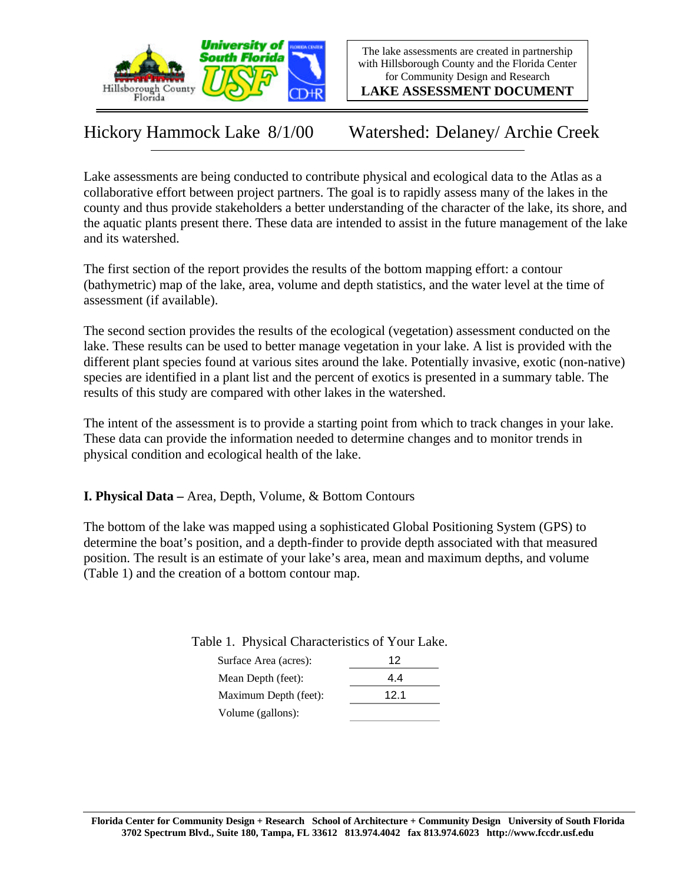

The lake assessments are created in partnership with Hillsborough County and the Florida Center for Community Design and Research

**LAKE ASSESSMENT DOCUMENT**

Hickory Hammock Lake 8/1/00 Watershed: Delaney/ Archie Creek

Lake assessments are being conducted to contribute physical and ecological data to the Atlas as a collaborative effort between project partners. The goal is to rapidly assess many of the lakes in the county and thus provide stakeholders a better understanding of the character of the lake, its shore, and the aquatic plants present there. These data are intended to assist in the future management of the lake and its watershed.

The first section of the report provides the results of the bottom mapping effort: a contour (bathymetric) map of the lake, area, volume and depth statistics, and the water level at the time of assessment (if available).

The second section provides the results of the ecological (vegetation) assessment conducted on the lake. These results can be used to better manage vegetation in your lake. A list is provided with the different plant species found at various sites around the lake. Potentially invasive, exotic (non-native) species are identified in a plant list and the percent of exotics is presented in a summary table. The results of this study are compared with other lakes in the watershed.

The intent of the assessment is to provide a starting point from which to track changes in your lake. These data can provide the information needed to determine changes and to monitor trends in physical condition and ecological health of the lake.

**I. Physical Data –** Area, Depth, Volume, & Bottom Contours

The bottom of the lake was mapped using a sophisticated Global Positioning System (GPS) to determine the boat's position, and a depth-finder to provide depth associated with that measured position. The result is an estimate of your lake's area, mean and maximum depths, and volume (Table 1) and the creation of a bottom contour map.

Table 1. Physical Characteristics of Your Lake.

| Surface Area (acres): | 12   |
|-----------------------|------|
| Mean Depth (feet):    | 44   |
| Maximum Depth (feet): | 12.1 |
| Volume (gallons):     |      |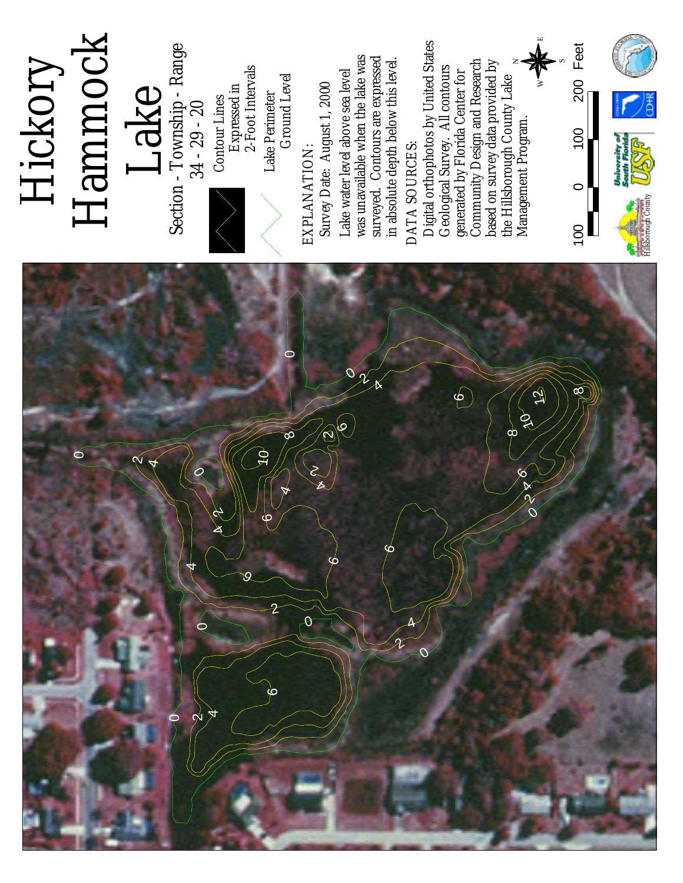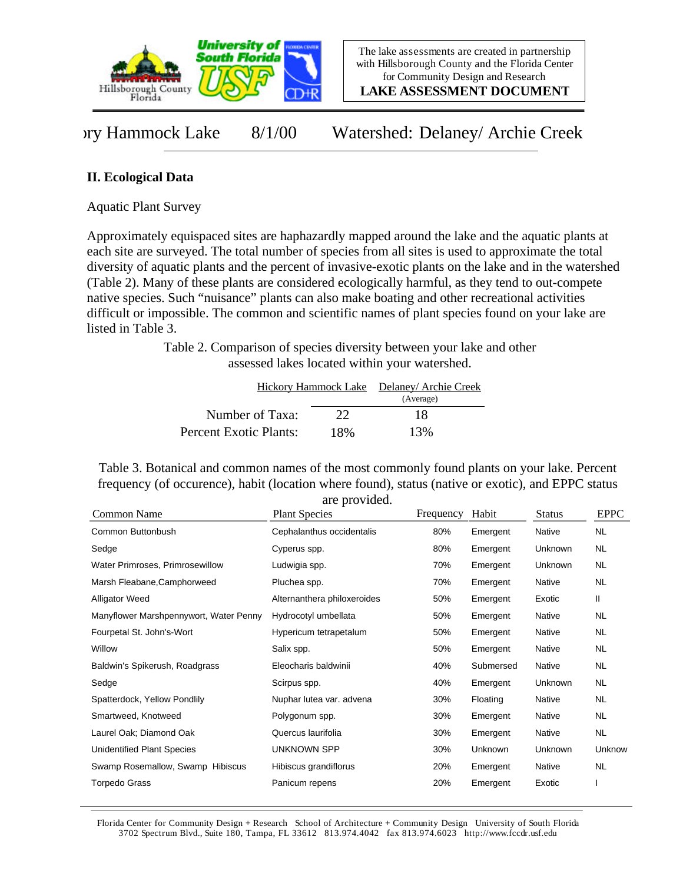

**LAKE ASSESSMENT DOCUMENT**

vry Hammock Lake 8/1/00 Watershed: Delaney/ Archie Creek

## **II. Ecological Data**

Aquatic Plant Survey

Approximately equispaced sites are haphazardly mapped around the lake and the aquatic plants at each site are surveyed. The total number of species from all sites is used to approximate the total diversity of aquatic plants and the percent of invasive-exotic plants on the lake and in the watershed (Table 2). Many of these plants are considered ecologically harmful, as they tend to out-compete native species. Such "nuisance" plants can also make boating and other recreational activities difficult or impossible. The common and scientific names of plant species found on your lake are listed in Table 3.

> Table 2. Comparison of species diversity between your lake and other assessed lakes located within your watershed.

|                        |     | Hickory Hammock Lake Delaney/Archie Creek |
|------------------------|-----|-------------------------------------------|
|                        |     | (Average)                                 |
| Number of Taxa:        | 22  | 18                                        |
| Percent Exotic Plants: | 18% | 13%                                       |

Table 3. Botanical and common names of the most commonly found plants on your lake. Percent frequency (of occurence), habit (location where found), status (native or exotic), and EPPC status are provided.

| Common Name                            | are provided.<br><b>Plant Species</b> | Frequency | Habit     | <b>Status</b> | <b>EPPC</b> |
|----------------------------------------|---------------------------------------|-----------|-----------|---------------|-------------|
| Common Buttonbush                      | Cephalanthus occidentalis             | 80%       | Emergent  | Native        | <b>NL</b>   |
| Sedge                                  | Cyperus spp.                          | 80%       | Emergent  | Unknown       | <b>NL</b>   |
| Water Primroses, Primrosewillow        | Ludwigia spp.                         | 70%       | Emergent  | Unknown       | <b>NL</b>   |
| Marsh Fleabane, Camphorweed            | Pluchea spp.                          | 70%       | Emergent  | Native        | <b>NL</b>   |
| <b>Alligator Weed</b>                  | Alternanthera philoxeroides           | 50%       | Emergent  | Exotic        | Ш           |
| Manyflower Marshpennywort, Water Penny | Hydrocotyl umbellata                  | 50%       | Emergent  | Native        | <b>NL</b>   |
| Fourpetal St. John's-Wort              | Hypericum tetrapetalum                | 50%       | Emergent  | Native        | <b>NL</b>   |
| Willow                                 | Salix spp.                            | 50%       | Emergent  | Native        | <b>NL</b>   |
| Baldwin's Spikerush, Roadgrass         | Eleocharis baldwinii                  | 40%       | Submersed | Native        | <b>NL</b>   |
| Sedge                                  | Scirpus spp.                          | 40%       | Emergent  | Unknown       | <b>NL</b>   |
| Spatterdock, Yellow Pondlily           | Nuphar lutea var. advena              | 30%       | Floating  | Native        | <b>NL</b>   |
| Smartweed, Knotweed                    | Polygonum spp.                        | 30%       | Emergent  | Native        | <b>NL</b>   |
| Laurel Oak; Diamond Oak                | Quercus laurifolia                    | 30%       | Emergent  | Native        | <b>NL</b>   |
| <b>Unidentified Plant Species</b>      | UNKNOWN SPP                           | 30%       | Unknown   | Unknown       | Unknow      |
| Swamp Rosemallow, Swamp Hibiscus       | Hibiscus grandiflorus                 | 20%       | Emergent  | Native        | <b>NL</b>   |
| <b>Torpedo Grass</b>                   | Panicum repens                        | 20%       | Emergent  | Exotic        |             |

Florida Center for Community Design + Research School of Architecture + Community Design University of South Florida 3702 Spectrum Blvd., Suite 180, Tampa, FL 33612 813.974.4042 fax 813.974.6023 http://www.fccdr.usf.edu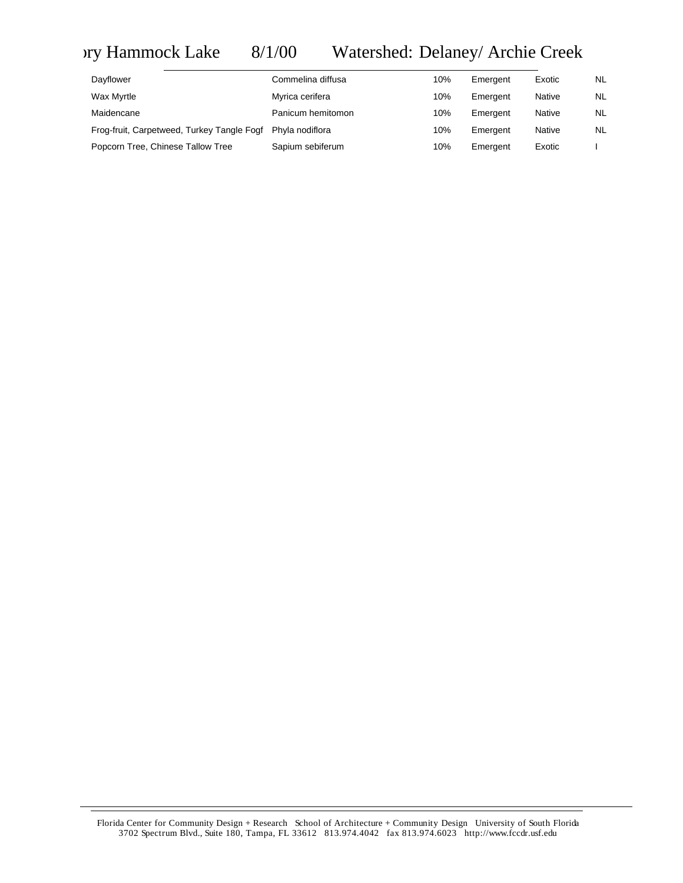## vry Hammock Lake 8/1/00 Watershed: Delaney/ Archie Creek

| Dayflower                                  | Commelina diffusa | 10% | Emergent | Exotic        | <b>NL</b> |
|--------------------------------------------|-------------------|-----|----------|---------------|-----------|
| Wax Myrtle                                 | Myrica cerifera   | 10% | Emergent | <b>Native</b> | <b>NL</b> |
| Maidencane                                 | Panicum hemitomon | 10% | Emergent | <b>Native</b> | <b>NL</b> |
| Frog-fruit, Carpetweed, Turkey Tangle Fogf | Phyla nodiflora   | 10% | Emergent | <b>Native</b> | <b>NL</b> |
| Popcorn Tree, Chinese Tallow Tree          | Sapium sebiferum  | 10% | Emergent | Exotic        |           |

Florida Center for Community Design + Research School of Architecture + Community Design University of South Florida 3702 Spectrum Blvd., Suite 180, Tampa, FL 33612 813.974.4042 fax 813.974.6023 http://www.fccdr.usf.edu